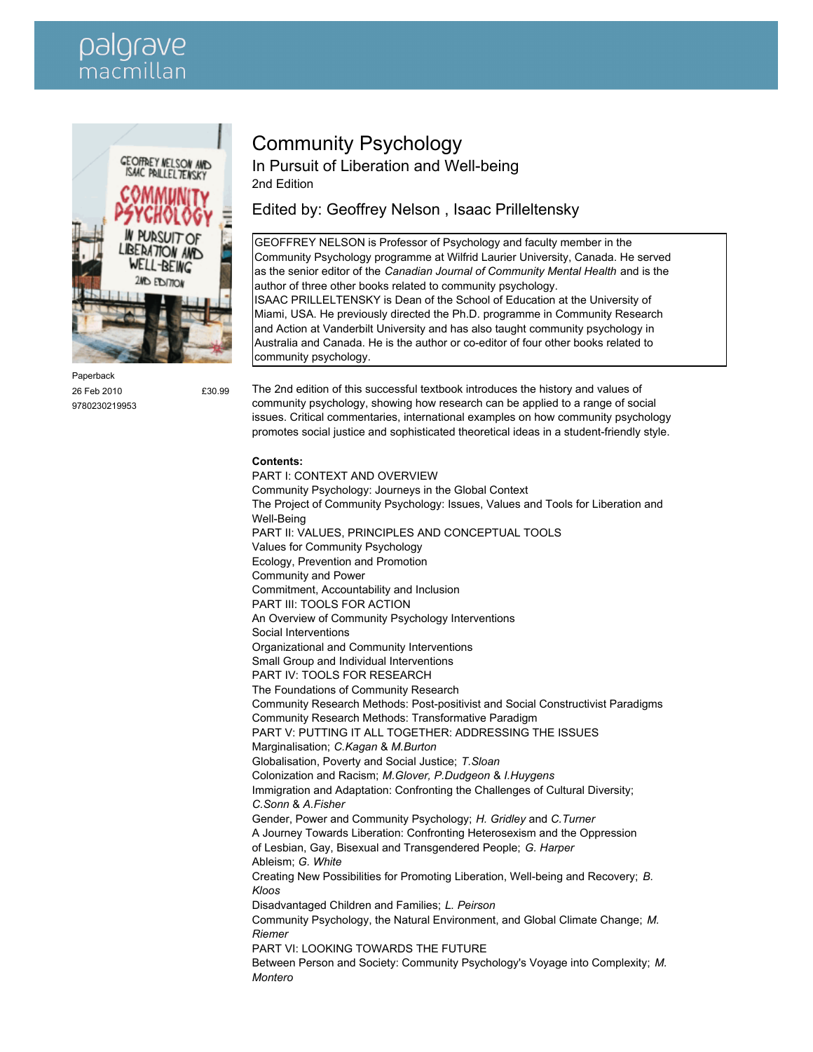## palgrave macmillar



Paperback 26 Feb 2010 **£30.99** 9780230219953

## Community Psychology

In Pursuit of Liberation and Well-being 2nd Edition

Edited by: Geoffrey Nelson , Isaac Prilleltensky

GEOFFREY NELSON is Professor of Psychology and faculty member in the Community Psychology programme at Wilfrid Laurier University, Canada. He served as the senior editor of the *Canadian Journal of Community Mental Health* and is the author of three other books related to community psychology. ISAAC PRILLELTENSKY is Dean of the School of Education at the University of Miami, USA. He previously directed the Ph.D. programme in Community Research and Action at Vanderbilt University and has also taught community psychology in Australia and Canada. He is the author or co-editor of four other books related to community psychology.

The 2nd edition of this successful textbook introduces the history and values of community psychology, showing how research can be applied to a range of social issues. Critical commentaries, international examples on how community psychology promotes social justice and sophisticated theoretical ideas in a student-friendly style.

## **Contents:**

PART I: CONTEXT AND OVERVIEW Community Psychology: Journeys in the Global Context The Project of Community Psychology: Issues, Values and Tools for Liberation and Well-Being PART II: VALUES, PRINCIPLES AND CONCEPTUAL TOOLS Values for Community Psychology Ecology, Prevention and Promotion Community and Power Commitment, Accountability and Inclusion PART III: TOOLS FOR ACTION An Overview of Community Psychology Interventions Social Interventions Organizational and Community Interventions Small Group and Individual Interventions PART IV: TOOLS FOR RESEARCH The Foundations of Community Research Community Research Methods: Post-positivist and Social Constructivist Paradigms Community Research Methods: Transformative Paradigm PART V: PUTTING IT ALL TOGETHER: ADDRESSING THE ISSUES Marginalisation; *C.Kagan* & *M.Burton* Globalisation, Poverty and Social Justice; *T.Sloan* Colonization and Racism; *M.Glover, P.Dudgeon* & *I.Huygens* Immigration and Adaptation: Confronting the Challenges of Cultural Diversity; *C.Sonn* & *A.Fisher* Gender, Power and Community Psychology; *H. Gridley* and *C.Turner* A Journey Towards Liberation: Confronting Heterosexism and the Oppression of Lesbian, Gay, Bisexual and Transgendered People; *G. Harper* Ableism; *G. White* Creating New Possibilities for Promoting Liberation, Well-being and Recovery; *B. Kloos* Disadvantaged Children and Families; *L. Peirson* Community Psychology, the Natural Environment, and Global Climate Change; *M. Riemer* PART VI: LOOKING TOWARDS THE FUTURE Between Person and Society: Community Psychology's Voyage into Complexity; *M. Montero*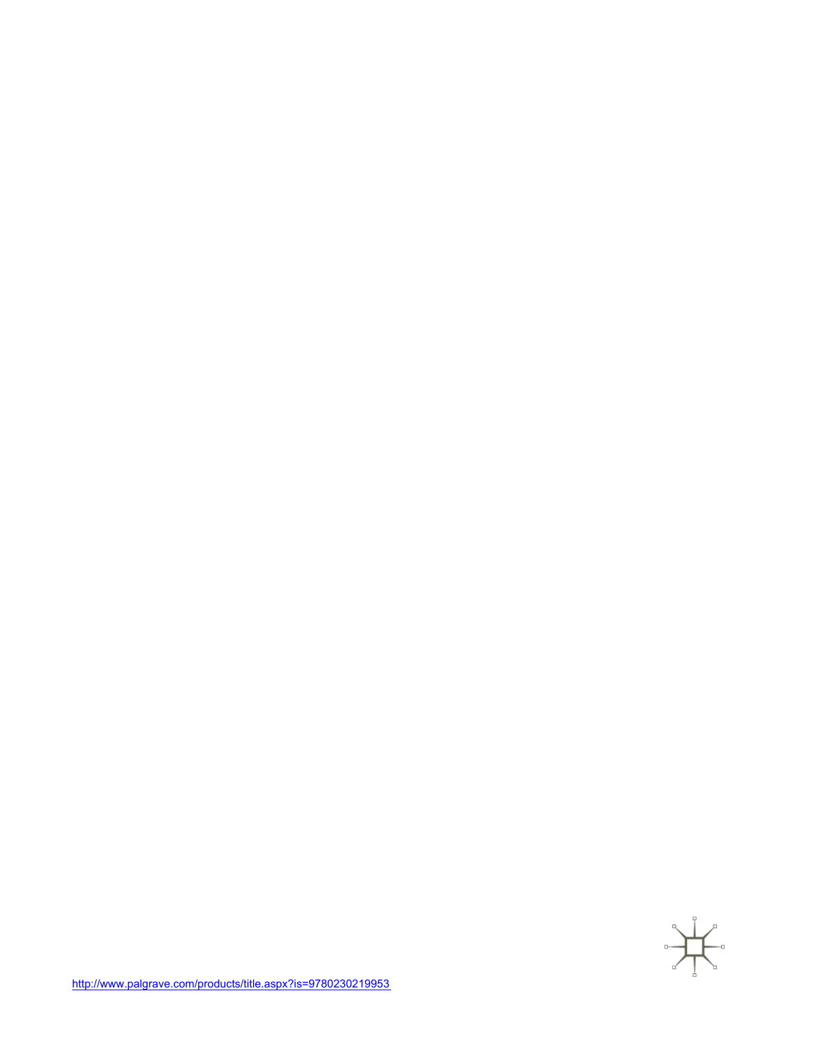